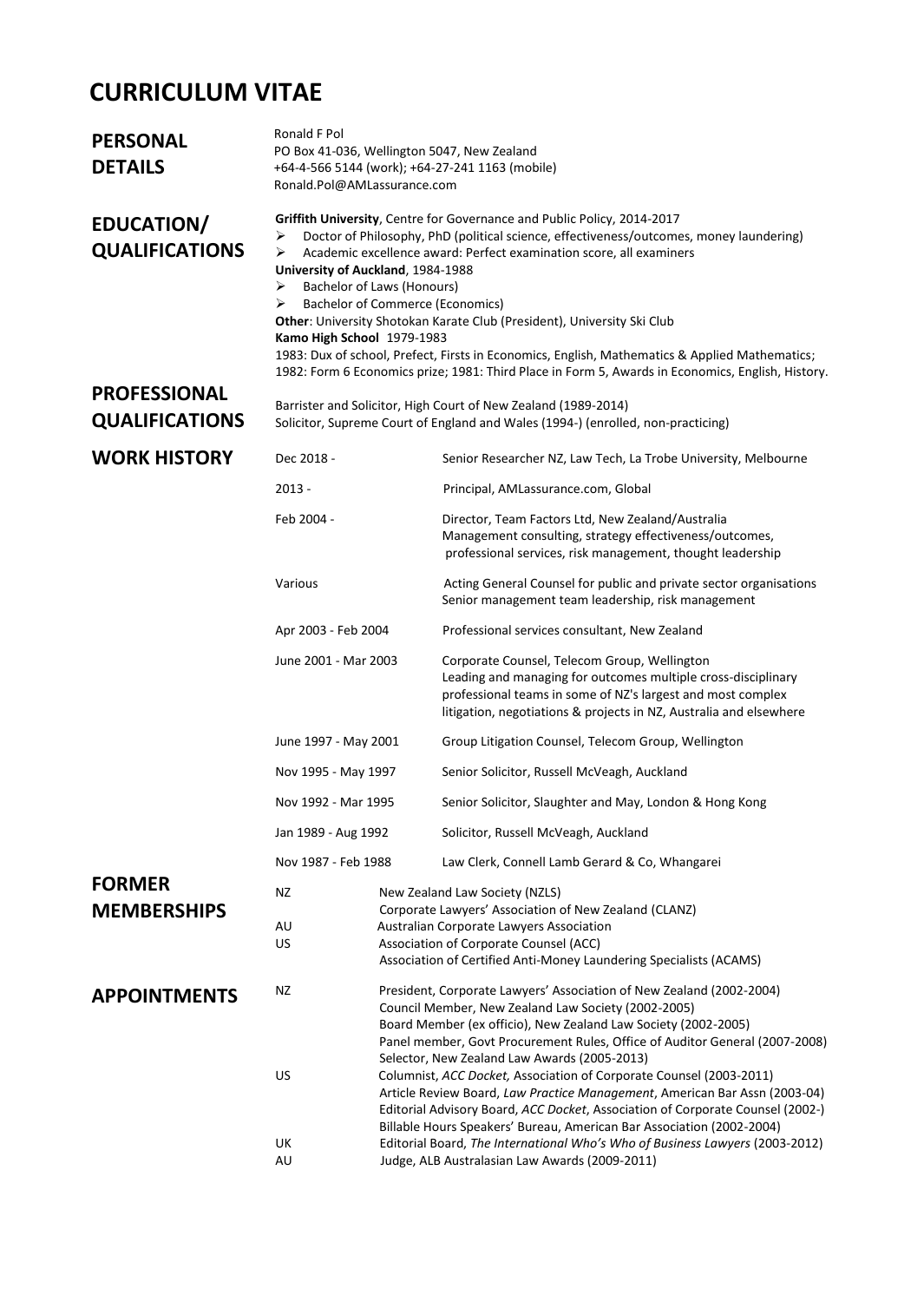# **CURRICULUM VITAE**

| Ronald F Pol<br>PO Box 41-036, Wellington 5047, New Zealand<br>+64-4-566 5144 (work); +64-27-241 1163 (mobile)<br>Ronald.Pol@AMLassurance.com                                                                                                                                                                                                                                                                                                                                                                                                                                                                                                                                                      |                                                                                                                                                                                                                                                                                                                                                                                                                                                                                                                                                                                                                                                                                                                                                                                |                                                                                                                                                                                                                                                    |
|----------------------------------------------------------------------------------------------------------------------------------------------------------------------------------------------------------------------------------------------------------------------------------------------------------------------------------------------------------------------------------------------------------------------------------------------------------------------------------------------------------------------------------------------------------------------------------------------------------------------------------------------------------------------------------------------------|--------------------------------------------------------------------------------------------------------------------------------------------------------------------------------------------------------------------------------------------------------------------------------------------------------------------------------------------------------------------------------------------------------------------------------------------------------------------------------------------------------------------------------------------------------------------------------------------------------------------------------------------------------------------------------------------------------------------------------------------------------------------------------|----------------------------------------------------------------------------------------------------------------------------------------------------------------------------------------------------------------------------------------------------|
| Griffith University, Centre for Governance and Public Policy, 2014-2017<br>Doctor of Philosophy, PhD (political science, effectiveness/outcomes, money laundering)<br>➤<br>Academic excellence award: Perfect examination score, all examiners<br>➤<br>University of Auckland, 1984-1988<br><b>Bachelor of Laws (Honours)</b><br>➤<br><b>Bachelor of Commerce (Economics)</b><br>➤<br>Other: University Shotokan Karate Club (President), University Ski Club<br>Kamo High School 1979-1983<br>1983: Dux of school, Prefect, Firsts in Economics, English, Mathematics & Applied Mathematics;<br>1982: Form 6 Economics prize; 1981: Third Place in Form 5, Awards in Economics, English, History. |                                                                                                                                                                                                                                                                                                                                                                                                                                                                                                                                                                                                                                                                                                                                                                                |                                                                                                                                                                                                                                                    |
| Barrister and Solicitor, High Court of New Zealand (1989-2014)<br>Solicitor, Supreme Court of England and Wales (1994-) (enrolled, non-practicing)                                                                                                                                                                                                                                                                                                                                                                                                                                                                                                                                                 |                                                                                                                                                                                                                                                                                                                                                                                                                                                                                                                                                                                                                                                                                                                                                                                |                                                                                                                                                                                                                                                    |
| Dec 2018 -                                                                                                                                                                                                                                                                                                                                                                                                                                                                                                                                                                                                                                                                                         |                                                                                                                                                                                                                                                                                                                                                                                                                                                                                                                                                                                                                                                                                                                                                                                | Senior Researcher NZ, Law Tech, La Trobe University, Melbourne                                                                                                                                                                                     |
| 2013 -                                                                                                                                                                                                                                                                                                                                                                                                                                                                                                                                                                                                                                                                                             |                                                                                                                                                                                                                                                                                                                                                                                                                                                                                                                                                                                                                                                                                                                                                                                | Principal, AMLassurance.com, Global                                                                                                                                                                                                                |
| Feb 2004 -                                                                                                                                                                                                                                                                                                                                                                                                                                                                                                                                                                                                                                                                                         |                                                                                                                                                                                                                                                                                                                                                                                                                                                                                                                                                                                                                                                                                                                                                                                | Director, Team Factors Ltd, New Zealand/Australia<br>Management consulting, strategy effectiveness/outcomes,<br>professional services, risk management, thought leadership                                                                         |
| Various                                                                                                                                                                                                                                                                                                                                                                                                                                                                                                                                                                                                                                                                                            |                                                                                                                                                                                                                                                                                                                                                                                                                                                                                                                                                                                                                                                                                                                                                                                | Acting General Counsel for public and private sector organisations<br>Senior management team leadership, risk management                                                                                                                           |
| Apr 2003 - Feb 2004                                                                                                                                                                                                                                                                                                                                                                                                                                                                                                                                                                                                                                                                                |                                                                                                                                                                                                                                                                                                                                                                                                                                                                                                                                                                                                                                                                                                                                                                                | Professional services consultant, New Zealand                                                                                                                                                                                                      |
|                                                                                                                                                                                                                                                                                                                                                                                                                                                                                                                                                                                                                                                                                                    |                                                                                                                                                                                                                                                                                                                                                                                                                                                                                                                                                                                                                                                                                                                                                                                | Corporate Counsel, Telecom Group, Wellington<br>Leading and managing for outcomes multiple cross-disciplinary<br>professional teams in some of NZ's largest and most complex<br>litigation, negotiations & projects in NZ, Australia and elsewhere |
|                                                                                                                                                                                                                                                                                                                                                                                                                                                                                                                                                                                                                                                                                                    |                                                                                                                                                                                                                                                                                                                                                                                                                                                                                                                                                                                                                                                                                                                                                                                | Group Litigation Counsel, Telecom Group, Wellington                                                                                                                                                                                                |
|                                                                                                                                                                                                                                                                                                                                                                                                                                                                                                                                                                                                                                                                                                    |                                                                                                                                                                                                                                                                                                                                                                                                                                                                                                                                                                                                                                                                                                                                                                                | Senior Solicitor, Russell McVeagh, Auckland                                                                                                                                                                                                        |
|                                                                                                                                                                                                                                                                                                                                                                                                                                                                                                                                                                                                                                                                                                    |                                                                                                                                                                                                                                                                                                                                                                                                                                                                                                                                                                                                                                                                                                                                                                                | Senior Solicitor, Slaughter and May, London & Hong Kong                                                                                                                                                                                            |
|                                                                                                                                                                                                                                                                                                                                                                                                                                                                                                                                                                                                                                                                                                    |                                                                                                                                                                                                                                                                                                                                                                                                                                                                                                                                                                                                                                                                                                                                                                                | Solicitor, Russell McVeagh, Auckland                                                                                                                                                                                                               |
|                                                                                                                                                                                                                                                                                                                                                                                                                                                                                                                                                                                                                                                                                                    |                                                                                                                                                                                                                                                                                                                                                                                                                                                                                                                                                                                                                                                                                                                                                                                | Law Clerk, Connell Lamb Gerard & Co, Whangarei                                                                                                                                                                                                     |
| ΝZ<br>AU<br>US                                                                                                                                                                                                                                                                                                                                                                                                                                                                                                                                                                                                                                                                                     | New Zealand Law Society (NZLS)<br>Corporate Lawyers' Association of New Zealand (CLANZ)<br>Australian Corporate Lawyers Association<br>Association of Corporate Counsel (ACC)<br>Association of Certified Anti-Money Laundering Specialists (ACAMS)                                                                                                                                                                                                                                                                                                                                                                                                                                                                                                                            |                                                                                                                                                                                                                                                    |
| ΝZ<br>US<br>UK                                                                                                                                                                                                                                                                                                                                                                                                                                                                                                                                                                                                                                                                                     | President, Corporate Lawyers' Association of New Zealand (2002-2004)<br>Council Member, New Zealand Law Society (2002-2005)<br>Board Member (ex officio), New Zealand Law Society (2002-2005)<br>Panel member, Govt Procurement Rules, Office of Auditor General (2007-2008)<br>Selector, New Zealand Law Awards (2005-2013)<br>Columnist, ACC Docket, Association of Corporate Counsel (2003-2011)<br>Article Review Board, Law Practice Management, American Bar Assn (2003-04)<br>Editorial Advisory Board, ACC Docket, Association of Corporate Counsel (2002-)<br>Billable Hours Speakers' Bureau, American Bar Association (2002-2004)<br>Editorial Board, The International Who's Who of Business Lawyers (2003-2012)<br>Judge, ALB Australasian Law Awards (2009-2011) |                                                                                                                                                                                                                                                    |
|                                                                                                                                                                                                                                                                                                                                                                                                                                                                                                                                                                                                                                                                                                    | AU                                                                                                                                                                                                                                                                                                                                                                                                                                                                                                                                                                                                                                                                                                                                                                             | June 2001 - Mar 2003<br>June 1997 - May 2001<br>Nov 1995 - May 1997<br>Nov 1992 - Mar 1995<br>Jan 1989 - Aug 1992<br>Nov 1987 - Feb 1988                                                                                                           |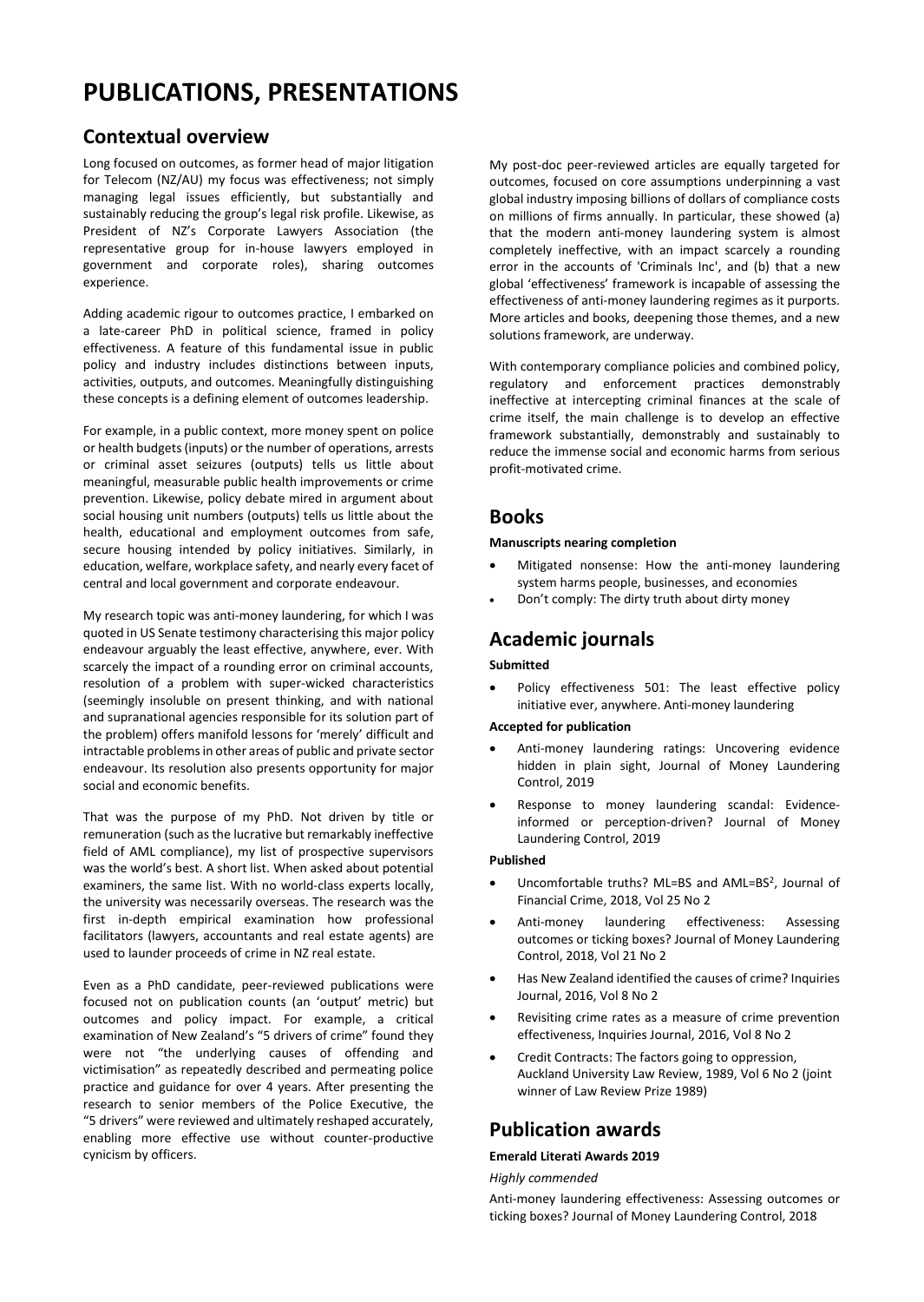# **PUBLICATIONS, PRESENTATIONS**

# **Contextual overview**

Long focused on outcomes, as former head of major litigation for Telecom (NZ/AU) my focus was effectiveness; not simply managing legal issues efficiently, but substantially and sustainably reducing the group's legal risk profile. Likewise, as President of NZ's Corporate Lawyers Association (the representative group for in-house lawyers employed in government and corporate roles), sharing outcomes experience.

Adding academic rigour to outcomes practice, I embarked on a late-career PhD in political science, framed in policy effectiveness. A feature of this fundamental issue in public policy and industry includes distinctions between inputs, activities, outputs, and outcomes. Meaningfully distinguishing these concepts is a defining element of outcomes leadership.

For example, in a public context, more money spent on police or health budgets (inputs) or the number of operations, arrests or criminal asset seizures (outputs) tells us little about meaningful, measurable public health improvements or crime prevention. Likewise, policy debate mired in argument about social housing unit numbers (outputs) tells us little about the health, educational and employment outcomes from safe, secure housing intended by policy initiatives. Similarly, in education, welfare, workplace safety, and nearly every facet of central and local government and corporate endeavour.

My research topic was anti-money laundering, for which I was quoted in US Senate testimony characterising this major policy endeavour arguably the least effective, anywhere, ever. With scarcely the impact of a rounding error on criminal accounts, resolution of a problem with super-wicked characteristics (seemingly insoluble on present thinking, and with national and supranational agencies responsible for its solution part of the problem) offers manifold lessons for 'merely' difficult and intractable problems in other areas of public and private sector endeavour. Its resolution also presents opportunity for major social and economic benefits.

That was the purpose of my PhD. Not driven by title or remuneration (such as the lucrative but remarkably ineffective field of AML compliance), my list of prospective supervisors was the world's best. A short list. When asked about potential examiners, the same list. With no world-class experts locally, the university was necessarily overseas. The research was the first in-depth empirical examination how professional facilitators (lawyers, accountants and real estate agents) are used to launder proceeds of crime in NZ real estate.

Even as a PhD candidate, peer-reviewed publications were focused not on publication counts (an 'output' metric) but outcomes and policy impact. For example, a critical examination of New Zealand's "5 drivers of crime" found they were not "the underlying causes of offending and victimisation" as repeatedly described and permeating police practice and guidance for over 4 years. After presenting the research to senior members of the Police Executive, the "5 drivers" were reviewed and ultimately reshaped accurately, enabling more effective use without counter-productive cynicism by officers.

My post-doc peer-reviewed articles are equally targeted for outcomes, focused on core assumptions underpinning a vast global industry imposing billions of dollars of compliance costs on millions of firms annually. In particular, these showed (a) that the modern anti-money laundering system is almost completely ineffective, with an impact scarcely a rounding error in the accounts of 'Criminals Inc', and (b) that a new global 'effectiveness' framework is incapable of assessing the effectiveness of anti-money laundering regimes as it purports. More articles and books, deepening those themes, and a new solutions framework, are underway.

With contemporary compliance policies and combined policy, regulatory and enforcement practices demonstrably ineffective at intercepting criminal finances at the scale of crime itself, the main challenge is to develop an effective framework substantially, demonstrably and sustainably to reduce the immense social and economic harms from serious profit-motivated crime.

## **Books**

#### **Manuscripts nearing completion**

- Mitigated nonsense: How the anti-money laundering system harms people, businesses, and economies
- Don't comply: The dirty truth about dirty money

# **Academic journals**

#### **Submitted**

Policy effectiveness 501: The least effective policy initiative ever, anywhere. Anti-money laundering

#### **Accepted for publication**

- Anti-money laundering ratings: Uncovering evidence hidden in plain sight, Journal of Money Laundering Control, 2019
- Response to money laundering scandal: Evidenceinformed or perception-driven? Journal of Money Laundering Control, 2019

#### **Published**

- Uncomfortable truths? ML=BS and AML=BS<sup>2</sup> , Journal of Financial Crime, 2018, Vol 25 No 2
- Anti-money laundering effectiveness: Assessing outcomes or ticking boxes? Journal of Money Laundering Control, 2018, Vol 21 No 2
- Has New Zealand identified the causes of crime? Inquiries Journal, 2016, Vol 8 No 2
- Revisiting crime rates as a measure of crime prevention effectiveness, Inquiries Journal, 2016, Vol 8 No 2
- Credit Contracts: The factors going to oppression, Auckland University Law Review, 1989, Vol 6 No 2 (joint winner of Law Review Prize 1989)

# **Publication awards**

#### **Emerald Literati Awards 2019**

#### *Highly commended*

Anti-money laundering effectiveness: Assessing outcomes or ticking boxes? Journal of Money Laundering Control, 2018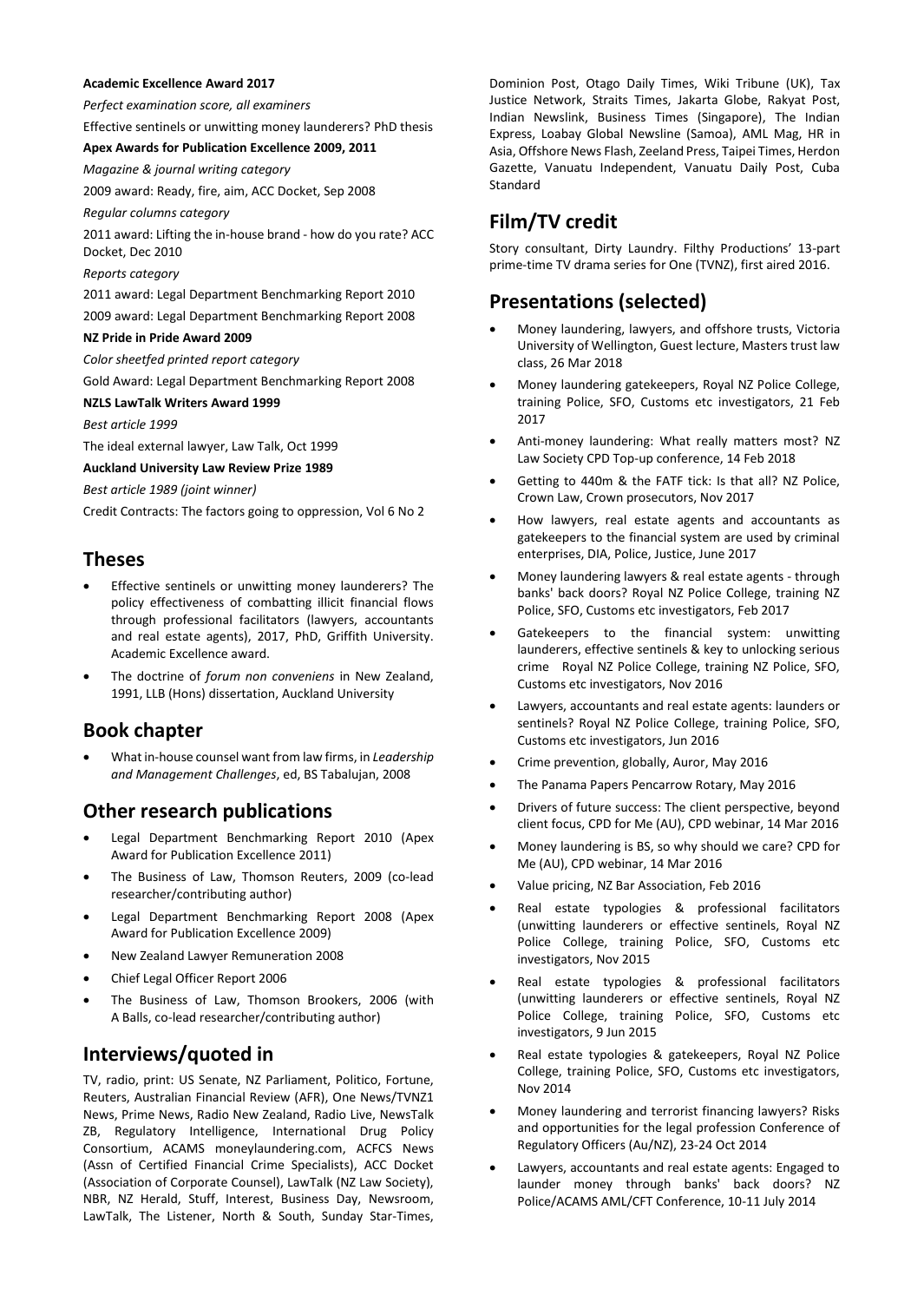#### **Academic Excellence Award 2017**

*Perfect examination score, all examiners*

Effective sentinels or unwitting money launderers? PhD thesis

#### **Apex Awards for Publication Excellence 2009, 2011**

*Magazine & journal writing category*

2009 award: Ready, fire, aim, ACC Docket, Sep 2008

*Regular columns category*

2011 award: Lifting the in-house brand - how do you rate? ACC Docket, Dec 2010

#### *Reports category*

2011 award: Legal Department Benchmarking Report 2010 2009 award: Legal Department Benchmarking Report 2008

#### **NZ Pride in Pride Award 2009**

*Color sheetfed printed report category*

Gold Award: Legal Department Benchmarking Report 2008

#### **NZLS LawTalk Writers Award 1999**

*Best article 1999*

The ideal external lawyer, Law Talk, Oct 1999

#### **Auckland University Law Review Prize 1989**

*Best article 1989 (joint winner)*

Credit Contracts: The factors going to oppression, Vol 6 No 2

### **Theses**

- Effective sentinels or unwitting money launderers? The policy effectiveness of combatting illicit financial flows through professional facilitators (lawyers, accountants and real estate agents), 2017, PhD, Griffith University. Academic Excellence award.
- The doctrine of *forum non conveniens* in New Zealand, 1991, LLB (Hons) dissertation, Auckland University

### **Book chapter**

• What in-house counsel want from law firms, in *Leadership and Management Challenges*, ed, BS Tabalujan, 2008

## **Other research publications**

- Legal Department Benchmarking Report 2010 (Apex Award for Publication Excellence 2011)
- The Business of Law, Thomson Reuters, 2009 (co-lead researcher/contributing author)
- Legal Department Benchmarking Report 2008 (Apex Award for Publication Excellence 2009)
- New Zealand Lawyer Remuneration 2008
- Chief Legal Officer Report 2006
- The Business of Law, Thomson Brookers, 2006 (with A Balls, co-lead researcher/contributing author)

# **Interviews/quoted in**

TV, radio, print: US Senate, NZ Parliament, Politico, Fortune, Reuters, Australian Financial Review (AFR), One News/TVNZ1 News, Prime News, Radio New Zealand, Radio Live, NewsTalk ZB, Regulatory Intelligence, International Drug Policy Consortium, ACAMS moneylaundering.com, ACFCS News (Assn of Certified Financial Crime Specialists), ACC Docket (Association of Corporate Counsel), LawTalk (NZ Law Society), NBR, NZ Herald, Stuff, Interest, Business Day, Newsroom, LawTalk, The Listener, North & South, Sunday Star-Times, Dominion Post, Otago Daily Times, Wiki Tribune (UK), Tax Justice Network, Straits Times, Jakarta Globe, Rakyat Post, Indian Newslink, Business Times (Singapore), The Indian Express, Loabay Global Newsline (Samoa), AML Mag, HR in Asia, Offshore News Flash, Zeeland Press, Taipei Times, Herdon Gazette, Vanuatu Independent, Vanuatu Daily Post, Cuba Standard

## **Film/TV credit**

Story consultant, Dirty Laundry. Filthy Productions' 13-part prime-time TV drama series for One (TVNZ), first aired 2016.

### **Presentations (selected)**

- Money laundering, lawyers, and offshore trusts, Victoria University of Wellington, Guest lecture, Masters trust law class, 26 Mar 2018
- Money laundering gatekeepers, Royal NZ Police College, training Police, SFO, Customs etc investigators, 21 Feb 2017
- Anti-money laundering: What really matters most? NZ Law Society CPD Top-up conference, 14 Feb 2018
- Getting to 440m & the FATF tick: Is that all? NZ Police, Crown Law, Crown prosecutors, Nov 2017
- How lawyers, real estate agents and accountants as gatekeepers to the financial system are used by criminal enterprises, DIA, Police, Justice, June 2017
- Money laundering lawyers & real estate agents through banks' back doors? Royal NZ Police College, training NZ Police, SFO, Customs etc investigators, Feb 2017
- Gatekeepers to the financial system: unwitting launderers, effective sentinels & key to unlocking serious crime Royal NZ Police College, training NZ Police, SFO, Customs etc investigators, Nov 2016
- Lawyers, accountants and real estate agents: launders or sentinels? Royal NZ Police College, training Police, SFO, Customs etc investigators, Jun 2016
- Crime prevention, globally, Auror, May 2016
- The Panama Papers Pencarrow Rotary, May 2016
- Drivers of future success: The client perspective, beyond client focus, CPD for Me (AU), CPD webinar, 14 Mar 2016
- Money laundering is BS, so why should we care? CPD for Me (AU), CPD webinar, 14 Mar 2016
- Value pricing, NZ Bar Association, Feb 2016
- Real estate typologies & professional facilitators (unwitting launderers or effective sentinels, Royal NZ Police College, training Police, SFO, Customs etc investigators, Nov 2015
- Real estate typologies & professional facilitators (unwitting launderers or effective sentinels, Royal NZ Police College, training Police, SFO, Customs etc investigators, 9 Jun 2015
- Real estate typologies & gatekeepers, Royal NZ Police College, training Police, SFO, Customs etc investigators, Nov 2014
- Money laundering and terrorist financing lawyers? Risks and opportunities for the legal profession Conference of Regulatory Officers (Au/NZ), 23-24 Oct 2014
- Lawyers, accountants and real estate agents: Engaged to launder money through banks' back doors? NZ Police/ACAMS AML/CFT Conference, 10-11 July 2014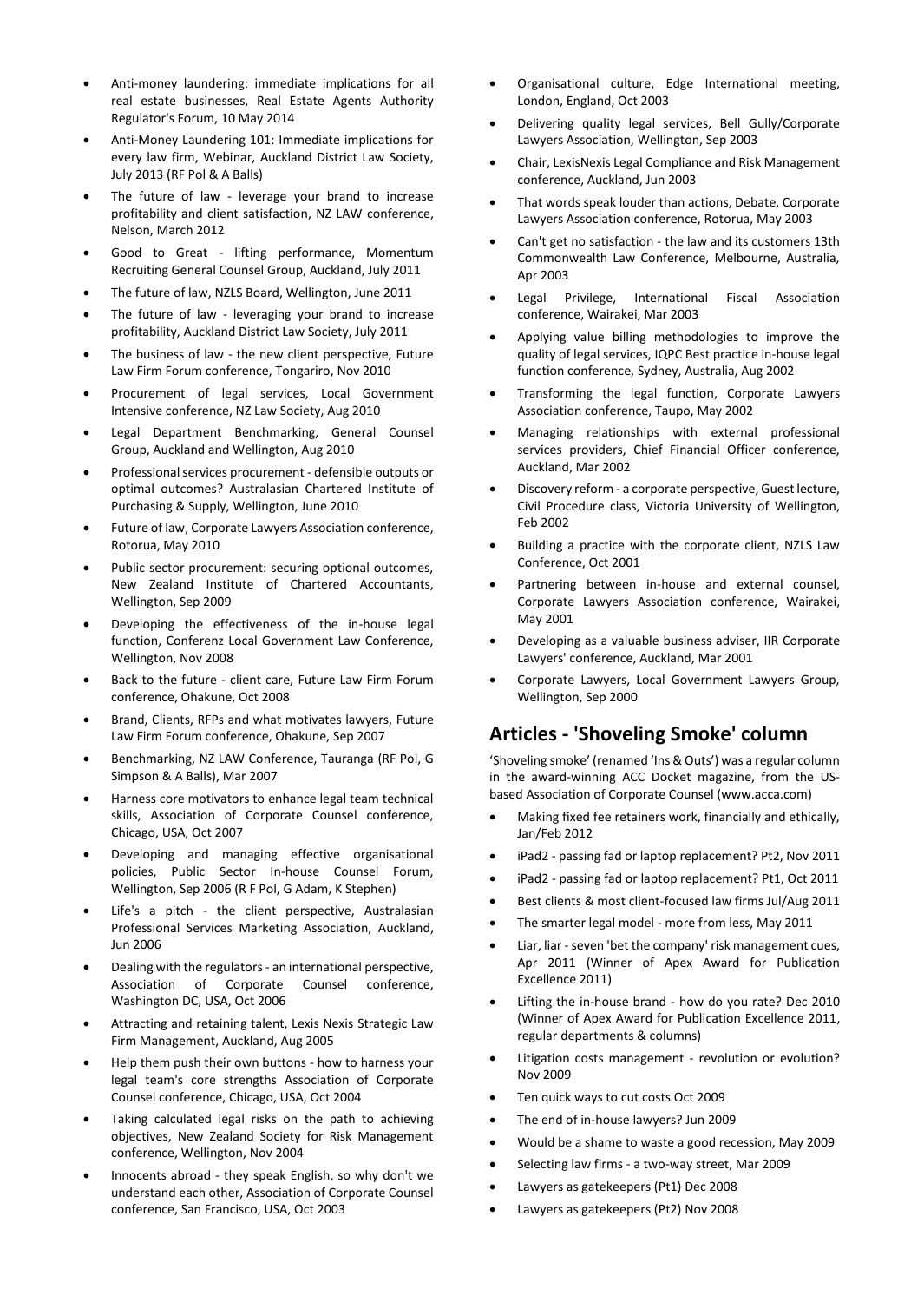- Anti-money laundering: immediate implications for all real estate businesses, Real Estate Agents Authority Regulator's Forum, 10 May 2014
- Anti-Money Laundering 101: Immediate implications for every law firm, Webinar, Auckland District Law Society, July 2013 (RF Pol & A Balls)
- The future of law leverage your brand to increase profitability and client satisfaction, NZ LAW conference, Nelson, March 2012
- Good to Great lifting performance, Momentum Recruiting General Counsel Group, Auckland, July 2011
- The future of law, NZLS Board, Wellington, June 2011
- The future of law leveraging your brand to increase profitability, Auckland District Law Society, July 2011
- The business of law the new client perspective, Future Law Firm Forum conference, Tongariro, Nov 2010
- Procurement of legal services, Local Government Intensive conference, NZ Law Society, Aug 2010
- Legal Department Benchmarking, General Counsel Group, Auckland and Wellington, Aug 2010
- Professional services procurement defensible outputs or optimal outcomes? Australasian Chartered Institute of Purchasing & Supply, Wellington, June 2010
- Future of law, Corporate Lawyers Association conference, Rotorua, May 2010
- Public sector procurement: securing optional outcomes, New Zealand Institute of Chartered Accountants, Wellington, Sep 2009
- Developing the effectiveness of the in-house legal function, Conferenz Local Government Law Conference, Wellington, Nov 2008
- Back to the future client care, Future Law Firm Forum conference, Ohakune, Oct 2008
- Brand, Clients, RFPs and what motivates lawyers, Future Law Firm Forum conference, Ohakune, Sep 2007
- Benchmarking, NZ LAW Conference, Tauranga (RF Pol, G Simpson & A Balls), Mar 2007
- Harness core motivators to enhance legal team technical skills, Association of Corporate Counsel conference, Chicago, USA, Oct 2007
- Developing and managing effective organisational policies, Public Sector In-house Counsel Forum, Wellington, Sep 2006 (R F Pol, G Adam, K Stephen)
- Life's a pitch the client perspective, Australasian Professional Services Marketing Association, Auckland, Jun 2006
- Dealing with the regulators an international perspective, Association of Corporate Counsel conference, Washington DC, USA, Oct 2006
- Attracting and retaining talent, Lexis Nexis Strategic Law Firm Management, Auckland, Aug 2005
- Help them push their own buttons how to harness your legal team's core strengths Association of Corporate Counsel conference, Chicago, USA, Oct 2004
- Taking calculated legal risks on the path to achieving objectives, New Zealand Society for Risk Management conference, Wellington, Nov 2004
- Innocents abroad they speak English, so why don't we understand each other, Association of Corporate Counsel conference, San Francisco, USA, Oct 2003
- Organisational culture, Edge International meeting, London, England, Oct 2003
- Delivering quality legal services, Bell Gully/Corporate Lawyers Association, Wellington, Sep 2003
- Chair, LexisNexis Legal Compliance and Risk Management conference, Auckland, Jun 2003
- That words speak louder than actions, Debate, Corporate Lawyers Association conference, Rotorua, May 2003
- Can't get no satisfaction the law and its customers 13th Commonwealth Law Conference, Melbourne, Australia, Apr 2003
- Legal Privilege, International Fiscal Association conference, Wairakei, Mar 2003
- Applying value billing methodologies to improve the quality of legal services, IQPC Best practice in-house legal function conference, Sydney, Australia, Aug 2002
- Transforming the legal function, Corporate Lawyers Association conference, Taupo, May 2002
- Managing relationships with external professional services providers, Chief Financial Officer conference, Auckland, Mar 2002
- Discovery reform a corporate perspective, Guest lecture, Civil Procedure class, Victoria University of Wellington, Feb 2002
- Building a practice with the corporate client, NZLS Law Conference, Oct 2001
- Partnering between in-house and external counsel, Corporate Lawyers Association conference, Wairakei, May 2001
- Developing as a valuable business adviser, IIR Corporate Lawyers' conference, Auckland, Mar 2001
- Corporate Lawyers, Local Government Lawyers Group, Wellington, Sep 2000

## **Articles - 'Shoveling Smoke' column**

'Shoveling smoke' (renamed 'Ins & Outs') was a regular column in the award-winning ACC Docket magazine, from the USbased Association of Corporate Counsel (www.acca.com)

- Making fixed fee retainers work, financially and ethically, Jan/Feb 2012
- iPad2 passing fad or laptop replacement? Pt2, Nov 2011
- iPad2 passing fad or laptop replacement? Pt1, Oct 2011
- Best clients & most client-focused law firms Jul/Aug 2011
- The smarter legal model more from less, May 2011
- Liar, liar seven 'bet the company' risk management cues, Apr 2011 (Winner of Apex Award for Publication Excellence 2011)
- Lifting the in-house brand how do you rate? Dec 2010 (Winner of Apex Award for Publication Excellence 2011, regular departments & columns)
- Litigation costs management revolution or evolution? Nov 2009
- Ten quick ways to cut costs Oct 2009
- The end of in-house lawyers? Jun 2009
- Would be a shame to waste a good recession, May 2009
- Selecting law firms a two-way street, Mar 2009
- Lawyers as gatekeepers (Pt1) Dec 2008
- Lawyers as gatekeepers (Pt2) Nov 2008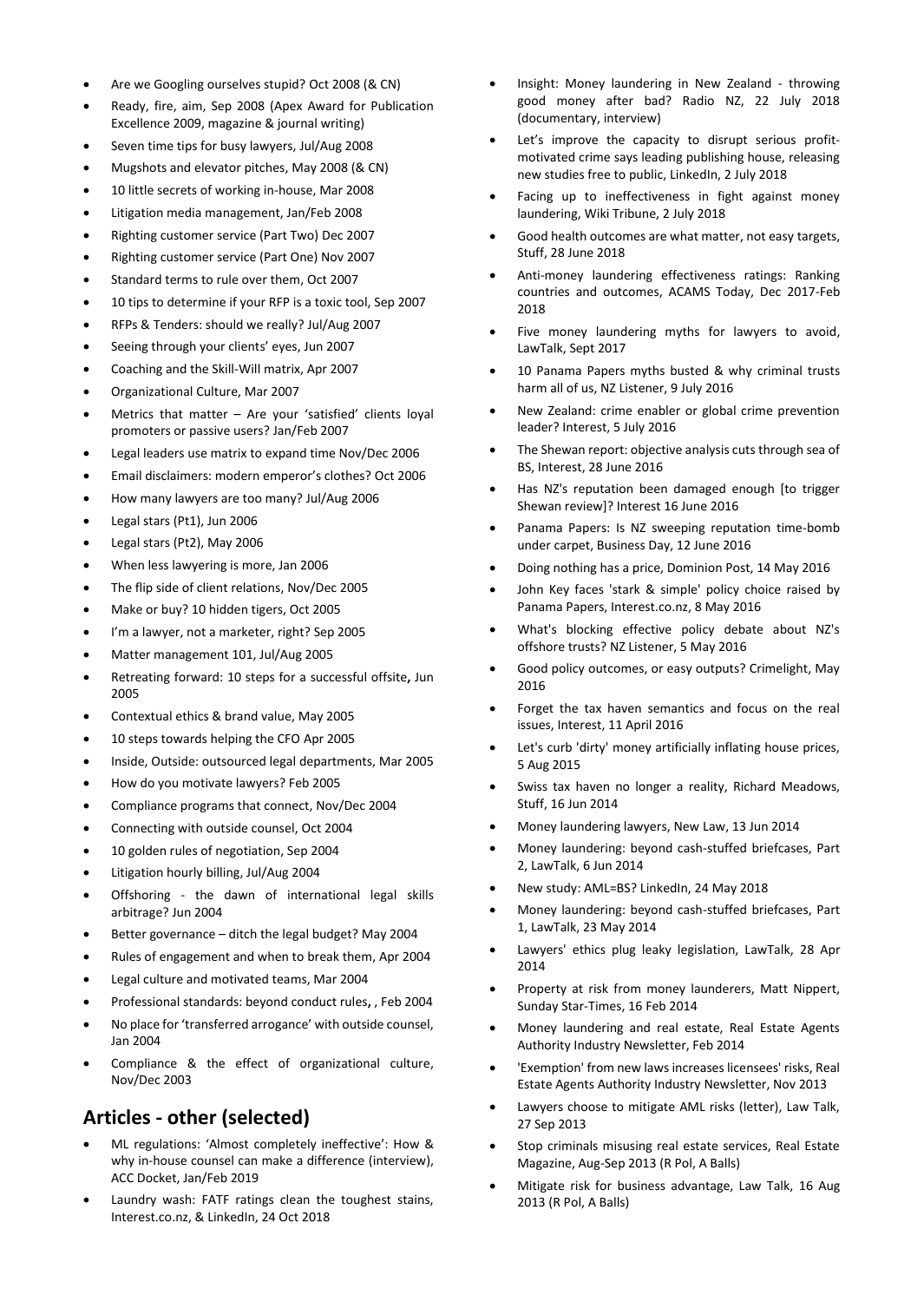- Are we Googling ourselves stupid? Oct 2008 (& CN)
- Ready, fire, aim, Sep 2008 (Apex Award for Publication Excellence 2009, magazine & journal writing)
- Seven time tips for busy lawyers, Jul/Aug 2008
- Mugshots and elevator pitches, May 2008 (& CN)
- 10 little secrets of working in-house, Mar 2008
- Litigation media management, Jan/Feb 2008
- Righting customer service (Part Two) Dec 2007
- Righting customer service (Part One) Nov 2007
- Standard terms to rule over them, Oct 2007
- 10 tips to determine if your RFP is a toxic tool, Sep 2007
- RFPs & Tenders: should we really? Jul/Aug 2007
- Seeing through your clients' eyes, Jun 2007
- Coaching and the Skill-Will matrix, Apr 2007
- Organizational Culture, Mar 2007
- Metrics that matter  $-$  Are your 'satisfied' clients loyal promoters or passive users? Jan/Feb 2007
- Legal leaders use matrix to expand time Nov/Dec 2006
- Email disclaimers: modern emperor's clothes? Oct 2006
- How many lawyers are too many? Jul/Aug 2006
- Legal stars (Pt1), Jun 2006
- Legal stars (Pt2), May 2006
- When less lawyering is more, Jan 2006
- The flip side of client relations, Nov/Dec 2005
- Make or buy? 10 hidden tigers, Oct 2005
- I'm a lawyer, not a marketer, right? Sep 2005
- Matter management 101, Jul/Aug 2005
- Retreating forward: 10 steps for a successful offsite**,** Jun 2005
- Contextual ethics & brand value, May 2005
- 10 steps towards helping the CFO Apr 2005
- Inside, Outside: outsourced legal departments, Mar 2005
- How do you motivate lawyers? Feb 2005
- Compliance programs that connect, Nov/Dec 2004
- Connecting with outside counsel, Oct 2004
- 10 golden rules of negotiation, Sep 2004
- Litigation hourly billing, Jul/Aug 2004
- Offshoring the dawn of international legal skills arbitrage? Jun 2004
- Better governance ditch the legal budget? May 2004
- Rules of engagement and when to break them, Apr 2004
- Legal culture and motivated teams, Mar 2004
- Professional standards: beyond conduct rules**,** , Feb 2004
- No place for 'transferred arrogance' with outside counsel, Jan 2004
- Compliance & the effect of organizational culture, Nov/Dec 2003

# **Articles - other (selected)**

- ML regulations: 'Almost completely ineffective': How & why in-house counsel can make a difference (interview), ACC Docket, Jan/Feb 2019
- Laundry wash: FATF ratings clean the toughest stains, Interest.co.nz, & LinkedIn, 24 Oct 2018
- Insight: Money laundering in New Zealand throwing good money after bad? Radio NZ, 22 July 2018 (documentary, interview)
- Let's improve the capacity to disrupt serious profitmotivated crime says leading publishing house, releasing new studies free to public, LinkedIn, 2 July 2018
- Facing up to ineffectiveness in fight against money laundering, Wiki Tribune, 2 July 2018
- Good health outcomes are what matter, not easy targets, Stuff, 28 June 2018
- Anti-money laundering effectiveness ratings: Ranking countries and outcomes, ACAMS Today, Dec 2017-Feb 2018
- Five money laundering myths for lawyers to avoid, LawTalk, Sept 2017
- 10 Panama Papers myths busted & why criminal trusts harm all of us, NZ Listener, 9 July 2016
- New Zealand: crime enabler or global crime prevention leader? Interest, 5 July 2016
- The Shewan report: objective analysis cuts through sea of BS, Interest, 28 June 2016
- Has NZ's reputation been damaged enough [to trigger Shewan review]? Interest 16 June 2016
- Panama Papers: Is NZ sweeping reputation time-bomb under carpet, Business Day, 12 June 2016
- Doing nothing has a price, Dominion Post, 14 May 2016
- John Key faces 'stark & simple' policy choice raised by Panama Papers, Interest.co.nz, 8 May 2016
- What's blocking effective policy debate about NZ's offshore trusts? NZ Listener, 5 May 2016
- Good policy outcomes, or easy outputs? Crimelight, May 2016
- Forget the tax haven semantics and focus on the real issues, Interest, 11 April 2016
- Let's curb 'dirty' money artificially inflating house prices, 5 Aug 2015
- Swiss tax haven no longer a reality, Richard Meadows, Stuff, 16 Jun 2014
- Money laundering lawyers, New Law, 13 Jun 2014
- Money laundering: beyond cash-stuffed briefcases, Part 2, LawTalk, 6 Jun 2014
- New study: AML=BS? LinkedIn, 24 May 2018
- Money laundering: beyond cash-stuffed briefcases, Part 1, LawTalk, 23 May 2014
- Lawyers' ethics plug leaky legislation, LawTalk, 28 Apr 2014
- Property at risk from money launderers, Matt Nippert, Sunday Star-Times, 16 Feb 2014
- Money laundering and real estate, Real Estate Agents Authority Industry Newsletter, Feb 2014
- 'Exemption' from new laws increases licensees' risks, Real Estate Agents Authority Industry Newsletter, Nov 2013
- Lawyers choose to mitigate AML risks (letter), Law Talk, 27 Sep 2013
- Stop criminals misusing real estate services, Real Estate Magazine, Aug-Sep 2013 (R Pol, A Balls)
- Mitigate risk for business advantage, Law Talk, 16 Aug 2013 (R Pol, A Balls)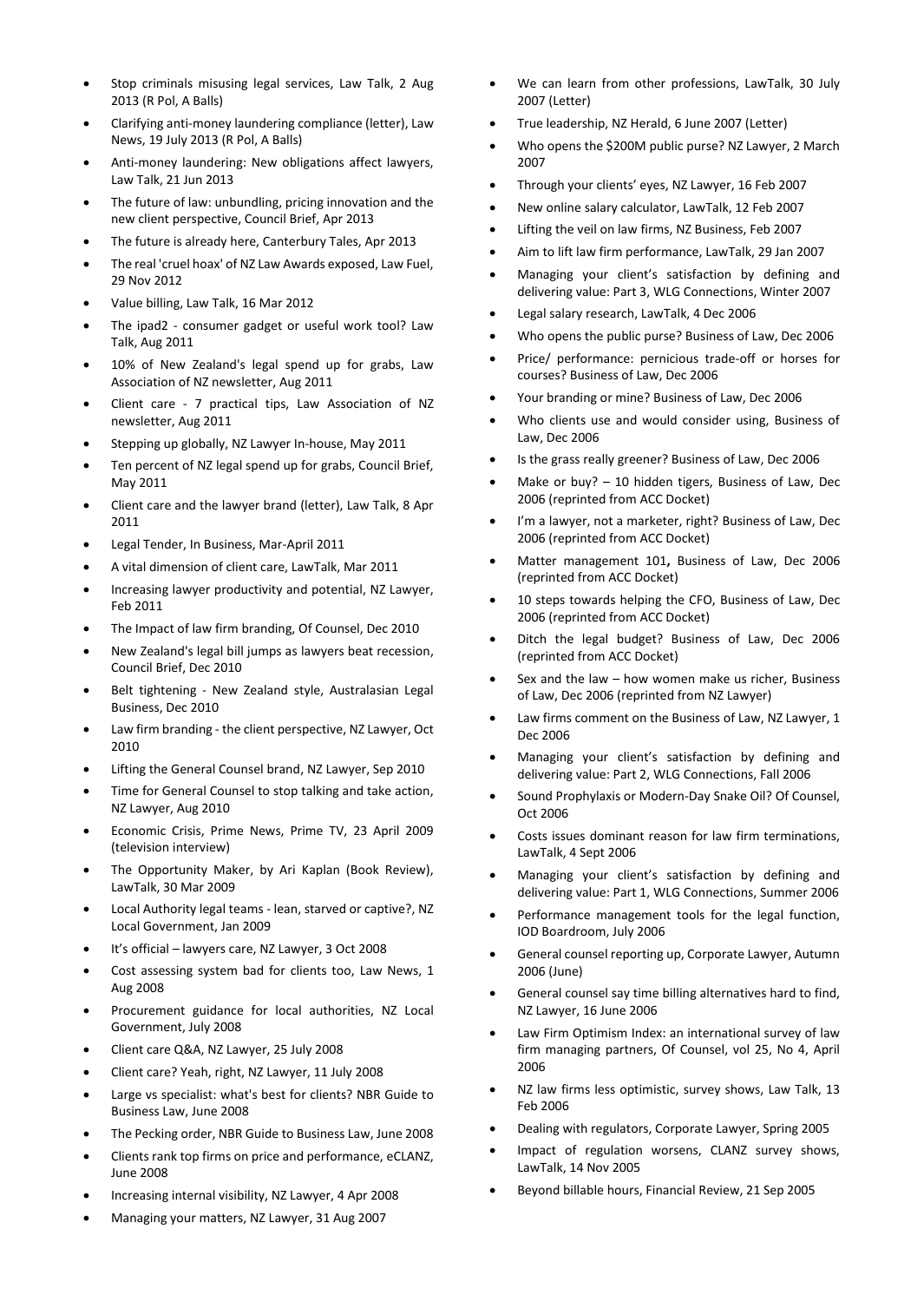- Stop criminals misusing legal services, Law Talk, 2 Aug. 2013 (R Pol, A Balls)
- Clarifying anti-money laundering compliance (letter), Law News, 19 July 2013 (R Pol, A Balls)
- Anti-money laundering: New obligations affect lawyers, Law Talk, 21 Jun 2013
- The future of law: unbundling, pricing innovation and the new client perspective, Council Brief, Apr 2013
- The future is already here, Canterbury Tales, Apr 2013
- The real 'cruel hoax' of NZ Law Awards exposed, Law Fuel, 29 Nov 2012
- Value billing, Law Talk, 16 Mar 2012
- The ipad2 consumer gadget or useful work tool? Law Talk, Aug 2011
- 10% of New Zealand's legal spend up for grabs, Law Association of NZ newsletter, Aug 2011
- Client care 7 practical tips, Law Association of NZ newsletter, Aug 2011
- Stepping up globally, NZ Lawyer In-house, May 2011
- Ten percent of NZ legal spend up for grabs, Council Brief, May 2011
- Client care and the lawyer brand (letter), Law Talk, 8 Apr 2011
- Legal Tender, In Business, Mar-April 2011
- A vital dimension of client care, LawTalk, Mar 2011
- Increasing lawyer productivity and potential, NZ Lawyer, Feb 2011
- The Impact of law firm branding, Of Counsel, Dec 2010
- New Zealand's legal bill jumps as lawyers beat recession, Council Brief, Dec 2010
- Belt tightening New Zealand style, Australasian Legal Business, Dec 2010
- Law firm branding the client perspective, NZ Lawyer, Oct 2010
- Lifting the General Counsel brand, NZ Lawyer, Sep 2010
- Time for General Counsel to stop talking and take action, NZ Lawyer, Aug 2010
- Economic Crisis, Prime News, Prime TV, 23 April 2009 (television interview)
- The Opportunity Maker, by Ari Kaplan (Book Review), LawTalk, 30 Mar 2009
- [Local Authority legal teams -](http://www.teamfactors.com/documents/LocalAuthorityLegalTeams-leanstarvedorcaptive2_LGmag_Jan09.pdf) lean, starved or captive?, NZ Local Government, Jan 2009
- It's official lawyers care, NZ Lawyer, 3 Oct 2008
- Cost assessing system bad for clients too, Law News, 1 Aug 2008
- Procurement guidance for local authorities, NZ Local Government, July 2008
- Client care Q&A, NZ Lawyer, 25 July 2008
- Client care? Yeah, right, NZ Lawyer, 11 July 2008
- Large vs specialist: what's best for clients? NBR Guide to Business Law, June 2008
- The Pecking order, NBR Guide to Business Law, June 2008
- Clients rank top firms on price and performance, eCLANZ, June 2008
- Increasing internal visibility, NZ Lawyer, 4 Apr 2008
- Managing your matters, NZ Lawyer, 31 Aug 2007
- We can learn from other professions, LawTalk, 30 July 2007 (Letter)
- True leadership, NZ Herald, 6 June 2007 (Letter)
- Who opens the \$200M public purse? NZ Lawyer, 2 March 2007
- Through your clients' eyes, NZ Lawyer, 16 Feb 2007
- New online salary calculator, LawTalk, 12 Feb 2007
- Lifting the veil on law firms, NZ Business, Feb 2007
- Aim to lift law firm performance, LawTalk, 29 Jan 2007
- Managing your client's satisfaction by defining and delivering value: Part 3, WLG Connections, Winter 2007
- Legal salary research, LawTalk, 4 Dec 2006
- Who opens the public purse? Business of Law, Dec 2006
- Price/ performance: pernicious trade-off or horses for courses? Business of Law, Dec 2006
- Your branding or mine? Business of Law, Dec 2006
- Who clients use and would consider using, Business of Law, Dec 2006
- Is the grass really greener? Business of Law, Dec 2006
- Make or buy?  $-10$  hidden tigers, Business of Law, Dec 2006 (reprinted from ACC Docket)
- I'm a lawyer, not a marketer, right? Business of Law, Dec 2006 (reprinted from ACC Docket)
- Matter management 101**,** Business of Law, Dec 2006 (reprinted from ACC Docket)
- 10 steps towards helping the CFO, Business of Law, Dec 2006 (reprinted from ACC Docket)
- Ditch the legal budget? Business of Law, Dec 2006 (reprinted from ACC Docket)
- Sex and the law  $-$  how women make us richer, Business of Law, Dec 2006 (reprinted from NZ Lawyer)
- Law firms comment on the Business of Law, NZ Lawyer, 1 Dec 2006
- Managing your client's satisfaction by defining and delivering value: Part 2, WLG Connections, Fall 2006
- Sound Prophylaxis or Modern-Day Snake Oil? Of Counsel, Oct 2006
- Costs issues dominant reason for law firm terminations, LawTalk, 4 Sept 2006
- Managing your client's satisfaction by defining and delivering value: Part 1, WLG Connections, Summer 2006
- Performance management tools for the legal function, IOD Boardroom, July 2006
- General counsel reporting up, Corporate Lawyer, Autumn 2006 (June)
- General counsel say time billing alternatives hard to find, NZ Lawyer, 16 June 2006
- Law Firm Optimism Index: an international survey of law firm managing partners, Of Counsel, vol 25, No 4, April 2006
- NZ law firms less optimistic, survey shows, Law Talk, 13 Feb 2006
- Dealing with regulators, Corporate Lawyer, Spring 2005
- Impact of regulation worsens, CLANZ survey shows, LawTalk, 14 Nov 2005
- Beyond billable hours, Financial Review, 21 Sep 2005